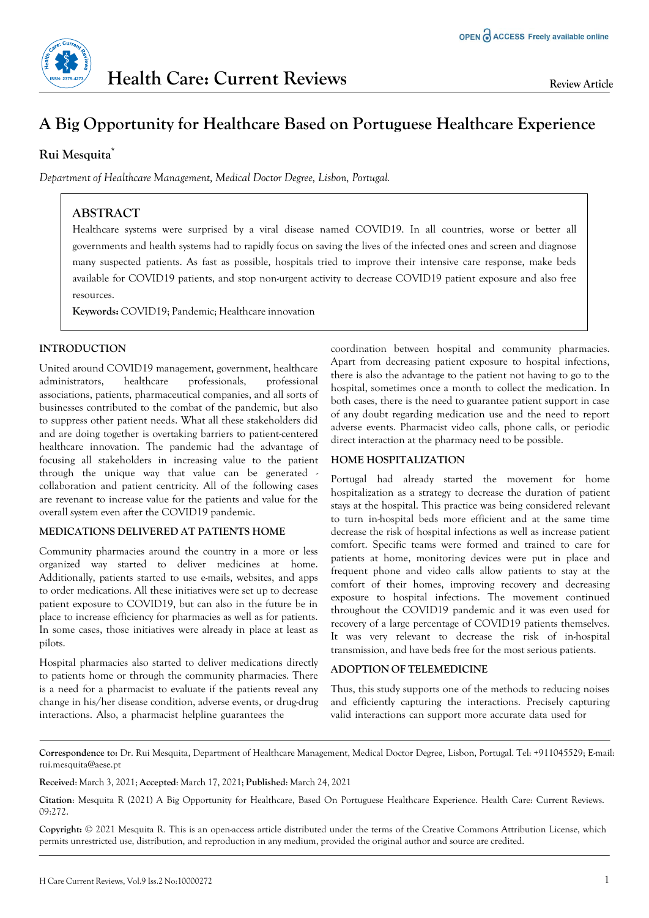

# **A Big Opportunity for Healthcare Based on Portuguese Healthcare Experience**

# **Rui Mesquita\***

*Department of Healthcare Management, Medical Doctor Degree, Lisbon, Portugal.*

# **ABSTRACT**

Healthcare systems were surprised by a viral disease named COVID19. In all countries, worse or better all governments and health systems had to rapidly focus on saving the lives of the infected ones and screen and diagnose many suspected patients. As fast as possible, hospitals tried to improve their intensive care response, make beds available for COVID19 patients, and stop non-urgent activity to decrease COVID19 patient exposure and also free resources.

**Keywords:** COVID19; Pandemic; Healthcare innovation

### **INTRODUCTION**

United around COVID19 management, government, healthcare administrators, healthcare professionals, professional associations, patients, pharmaceutical companies, and all sorts of businesses contributed to the combat of the pandemic, but also to suppress other patient needs. What all these stakeholders did and are doing together is overtaking barriers to patient-centered healthcare innovation. The pandemic had the advantage of focusing all stakeholders in increasing value to the patient through the unique way that value can be generated collaboration and patient centricity. All of the following cases are revenant to increase value for the patients and value for the overall system even after the COVID19 pandemic.

#### **MEDICATIONS DELIVERED AT PATIENTS HOME**

Community pharmacies around the country in a more or less organized way started to deliver medicines at home. Additionally, patients started to use e-mails, websites, and apps to order medications. All these initiatives were set up to decrease patient exposure to COVID19, but can also in the future be in place to increase efficiency for pharmacies as well as for patients. In some cases, those initiatives were already in place at least as pilots.

Hospital pharmacies also started to deliver medications directly to patients home or through the community pharmacies. There is a need for a pharmacist to evaluate if the patients reveal any change in his/her disease condition, adverse events, or drug-drug interactions. Also, a pharmacist helpline guarantees the

coordination between hospital and community pharmacies. Apart from decreasing patient exposure to hospital infections, there is also the advantage to the patient not having to go to the hospital, sometimes once a month to collect the medication. In both cases, there is the need to guarantee patient support in case of any doubt regarding medication use and the need to report adverse events. Pharmacist video calls, phone calls, or periodic direct interaction at the pharmacy need to be possible.

## **HOME HOSPITALIZATION**

Portugal had already started the movement for home hospitalization as a strategy to decrease the duration of patient stays at the hospital. This practice was being considered relevant to turn in-hospital beds more efficient and at the same time decrease the risk of hospital infections as well as increase patient comfort. Specific teams were formed and trained to care for patients at home, monitoring devices were put in place and frequent phone and video calls allow patients to stay at the comfort of their homes, improving recovery and decreasing exposure to hospital infections. The movement continued throughout the COVID19 pandemic and it was even used for recovery of a large percentage of COVID19 patients themselves. It was very relevant to decrease the risk of in-hospital transmission, and have beds free for the most serious patients.

#### **ADOPTION OF TELEMEDICINE**

Thus, this study supports one of the methods to reducing noises and efficiently capturing the interactions. Precisely capturing valid interactions can support more accurate data used for

**Correspondence to:** Dr. Rui Mesquita, Department of Healthcare Management, Medical Doctor Degree, Lisbon, Portugal. Tel: +911045529; E-mail: [rui.mesquita@aese.pt](mailto:rui.mesquita@aese.pt)

**Received**: March 3, 2021; **Accepted**: March 17, 2021; **Published**: March 24, 2021

**Copyright:** © 2021 Mesquita R. This is an open-access article distributed under the terms of the Creative Commons Attribution License, which permits unrestricted use, distribution, and reproduction in any medium, provided the original author and source are credited.

**Citation**: Mesquita R (2021) A Big Opportunity for Healthcare, Based On Portuguese Healthcare Experience. Health Care: Current Reviews. 09:272.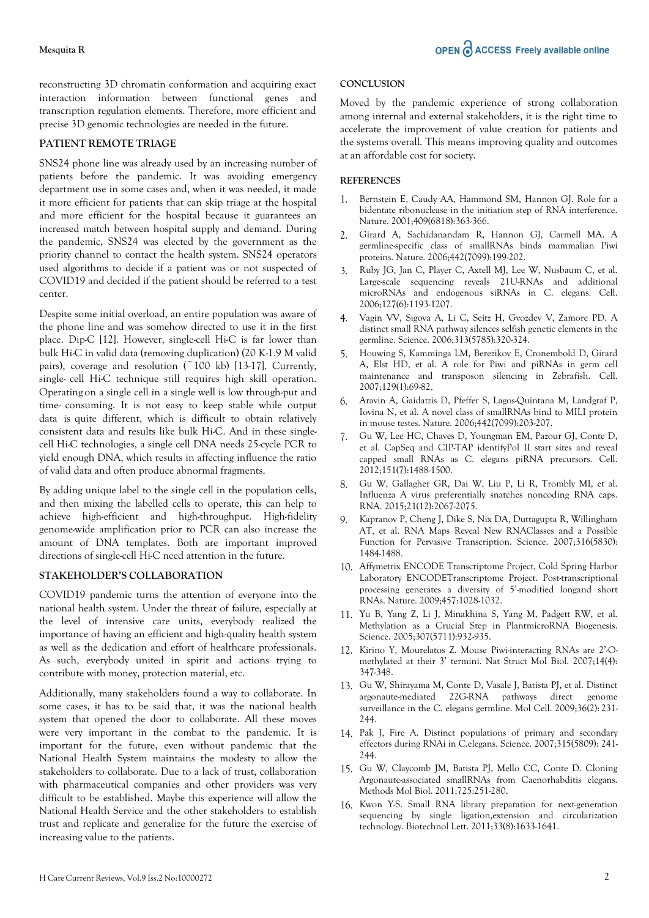reconstructing 3D chromatin conformation and acquiring exact interaction information between functional genes and transcription regulation elements. Therefore, more efficient and precise 3D genomic technologies are needed in the future.

#### **PATIENT REMOTE TRIAGE**

SNS24 phone line was already used by an increasing number of patients before the pandemic. It was avoiding emergency department use in some cases and, when it was needed, it made it more efficient for patients that can skip triage at the hospital and more efficient for the hospital because it guarantees an increased match between hospital supply and demand. During the pandemic, SNS24 was elected by the government as the priority channel to contact the health system. SNS24 operators used algorithms to decide if a patient was or not suspected of COVID19 and decided if the patient should be referred to a test center.

Despite some initial overload, an entire population was aware of the phone line and was somehow directed to use it in the first place. Dip-C [12]. However, single-cell Hi-C is far lower than bulk Hi-C in valid data (removing duplication) (20 K-1.9 M valid pairs), coverage and resolution  $(^{^\sim}100$  kb) [13-17]. Currently, single- cell Hi-C technique still requires high skill operation. Operating on a single cell in a single well is low through-put and time- consuming. It is not easy to keep stable while output data is quite different, which is difficult to obtain relatively consistent data and results like bulk Hi-C. And in these singlecell Hi-C technologies, a single cell DNA needs 25-cycle PCR to yield enough DNA, which results in affecting influence the ratio of valid data and often produce abnormal fragments.

By adding unique label to the single cell in the population cells, and then mixing the labelled cells to operate, this can help to achieve high-efficient and high-throughput. High-fidelity genome-wide amplification prior to PCR can also increase the amount of DNA templates. Both are important improved directions of single-cell Hi-C need attention in the future.

#### **STAKEHOLDER'S COLLABORATION**

COVID19 pandemic turns the attention of everyone into the national health system. Under the threat of failure, especially at the level of intensive care units, everybody realized the importance of having an efficient and high-quality health system as well as the dedication and effort of healthcare professionals. As such, everybody united in spirit and actions trying to contribute with money, protection material, etc.

Additionally, many stakeholders found a way to collaborate. In some cases, it has to be said that, it was the national health system that opened the door to collaborate. All these moves were very important in the combat to the pandemic. It is important for the future, even without pandemic that the National Health System maintains the modesty to allow the stakeholders to collaborate. Due to a lack of trust, collaboration with pharmaceutical companies and other providers was very difficult to be established. Maybe this experience will allow the National Health Service and the other stakeholders to establish trust and replicate and generalize for the future the exercise of increasing value to the patients.

#### **CONCLUSION**

Moved by the pandemic experience of strong collaboration among internal and external stakeholders, it is the right time to accelerate the improvement of value creation for patients and the systems overall. This means improving quality and outcomes at an affordable cost for society.

#### **REFERENCES**

- 1. Bernstein E, Caudy AA, Hammond SM, Hannon GJ. Role for a bidentate ribonuclease in the initiation step of RNA interference. Nature. 2001;409(6818):363-366.
- 2. Girard A, Sachidanandam R, Hannon GJ, Carmell MA. A germline-specific class of smallRNAs binds mammalian Piwi proteins. Nature. 2006;442(7099):199-202.
- 3. Ruby JG, Jan C, Player C, Axtell MJ, Lee W, Nusbaum C, et al. Large-scale sequencing reveals 21U-RNAs and additional microRNAs and endogenous siRNAs in C. elegans. Cell. 2006;127(6):1193-1207.
- 4. Vagin VV, Sigova A, Li C, Seitz H, Gvozdev V, Zamore PD. A distinct small RNA pathway silences selfish genetic elements in the germline. Science. 2006;313(5785):320-324.
- 5. Houwing S, Kamminga LM, Berezikov E, Cronembold D, Girard A, Elst HD, et al. A role for Piwi and piRNAs in germ cell maintenance and transposon silencing in Zebrafish. Cell. 2007;129(1):69-82.
- 6. Aravin A, Gaidatzis D, Pfeffer S, Lagos-Quintana M, Landgraf P, Iovina N, et al. A novel class of smallRNAs bind to MILI protein in mouse testes. Nature. 2006;442(7099):203-207.
- 7. Gu W, Lee HC, Chaves D, Youngman EM, Pazour GJ, Conte D, et al. CapSeq and CIP-TAP identifyPol II start sites and reveal capped small RNAs as C. elegans piRNA precursors. Cell. 2012;151(7):1488-1500.
- 8. Gu W, Gallagher GR, Dai W, Liu P, Li R, Trombly MI, et al. Influenza A virus preferentially snatches noncoding RNA caps. RNA. 2015;21(12):2067-2075.
- 9. Kapranov P, Cheng J, Dike S, Nix DA, Duttagupta R, Willingham AT, et al. RNA Maps Reveal New RNAClasses and a Possible Function for Pervasive Transcription. Science. 2007;316(5830): 1484-1488.
- 10. Affymetrix ENCODE Transcriptome Project, Cold Spring Harbor Laboratory ENCODETranscriptome Project. Post-transcriptional processing generates a diversity of 5'-modified longand short RNAs. Nature. 2009;457:1028-1032.
- 11. Yu B, Yang Z, Li J, Minakhina S, Yang M, Padgett RW, et al. Methylation as a Crucial Step in PlantmicroRNA Biogenesis. Science. 2005;307(5711):932-935.
- 12. Kirino Y, Mourelatos Z. Mouse Piwi-interacting RNAs are 2'-Omethylated at their 3' termini. Nat Struct Mol Biol. 2007;14(4): 347-348.
- 13. Gu W, Shirayama M, Conte D, Vasale J, Batista PJ, et al. Distinct argonaute-mediated 22G-RNA pathways direct genome surveillance in the C. elegans germline. Mol Cell. 2009;36(2): 231- 244.
- 14. Pak J, Fire A. Distinct populations of primary and secondary effectors during RNAi in C.elegans. Science. 2007;315(5809): 241- 244.
- 15. Gu W, Claycomb JM, Batista PJ, Mello CC, Conte D. Cloning Argonaute-associated smallRNAs from Caenorhabditis elegans. Methods Mol Biol. 2011;725:251-280.
- 16. Kwon Y-S. Small RNA library preparation for next-generation sequencing by single ligation,extension and circularization technology. Biotechnol Lett. 2011;33(8):1633-1641.